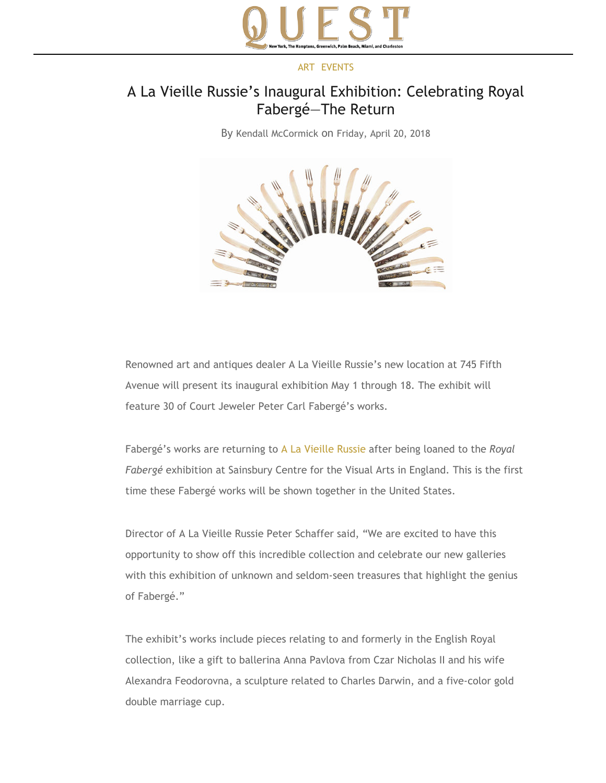

## [ART](https://www.questmag.com/blog/category/art-2/) [EVENTS](https://www.questmag.com/blog/category/events/)

## A La Vieille Russie's Inaugural Exhibition: Celebrating Royal Fabergé—The Return

By [Kendall McCormick](https://www.questmag.com/blog/author/quest-staff/) on [Friday, April 20, 2018](https://www.questmag.com/blog/2018/04/)



Renowned art and antiques dealer A La Vieille Russie's new location at 745 Fifth Avenue will present its inaugural exhibition May 1 through 18. The exhibit will feature 30 of Court Jeweler Peter Carl Fabergé's works.

Fabergé's works are returning to [A La Vieille Russie](http://www.alvr.com/) after being loaned to the *Royal Fabergé* exhibition at Sainsbury Centre for the Visual Arts in England. This is the first time these Fabergé works will be shown together in the United States.

Director of A La Vieille Russie Peter Schaffer said, "We are excited to have this opportunity to show off this incredible collection and celebrate our new galleries with this exhibition of unknown and seldom-seen treasures that highlight the genius of Fabergé."

The exhibit's works include pieces relating to and formerly in the English Royal collection, like a gift to ballerina Anna Pavlova from Czar Nicholas II and his wife Alexandra Feodorovna, a sculpture related to Charles Darwin, and a five‐color gold double marriage cup.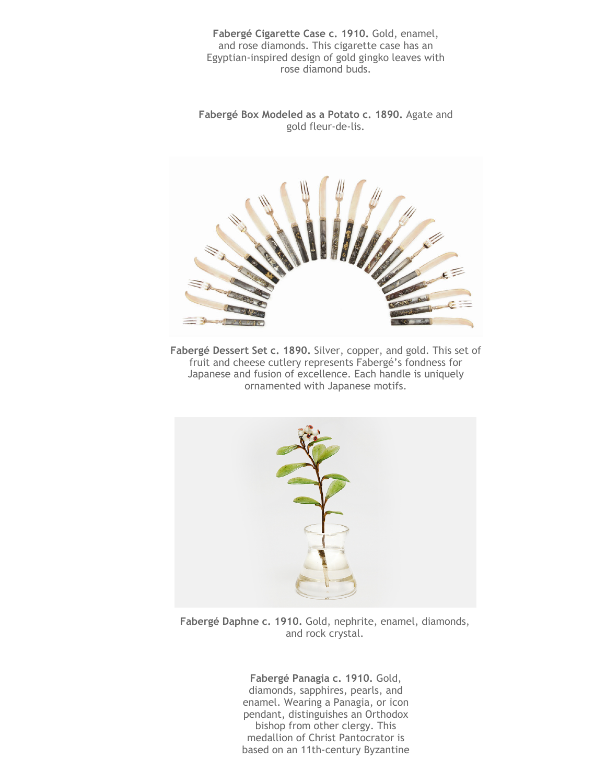**Fabergé Cigarette Case c. 1910.** Gold, enamel, and rose diamonds. This cigarette case has an Egyptian‐inspired design of gold gingko leaves with rose diamond buds.

**Fabergé Box Modeled as a Potato c. 1890.** Agate and gold fleur‐de‐lis.



**Fabergé Dessert Set c. 1890.** Silver, copper, and gold. This set of fruit and cheese cutlery represents Fabergé's fondness for Japanese and fusion of excellence. Each handle is uniquely ornamented with Japanese motifs.



**Fabergé Daphne c. 1910.** Gold, nephrite, enamel, diamonds, and rock crystal.

**Fabergé Panagia c. 1910.** Gold, diamonds, sapphires, pearls, and enamel. Wearing a Panagia, or icon pendant, distinguishes an Orthodox bishop from other clergy. This medallion of Christ Pantocrator is based on an 11th‐century Byzantine